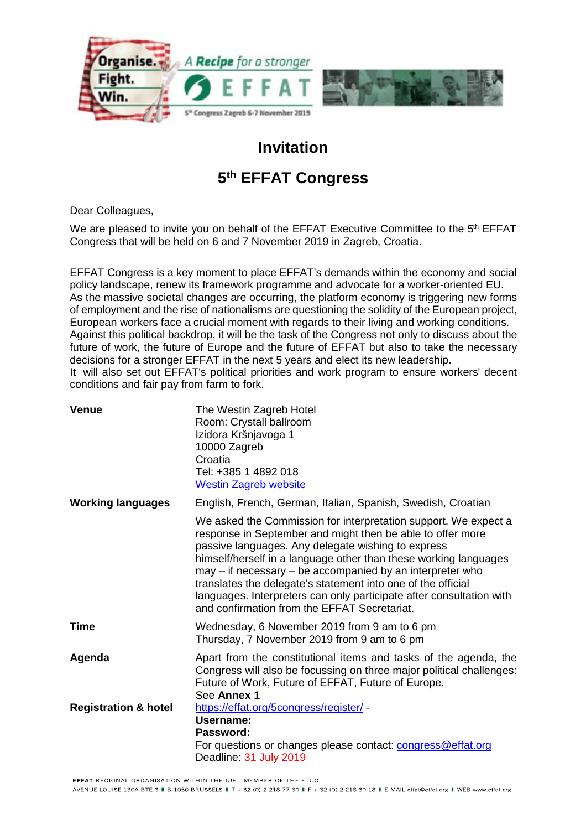

## **Invitation**

## **5 th EFFAT Congress**

Dear Colleagues,

We are pleased to invite you on behalf of the EFFAT Executive Committee to the 5<sup>th</sup> EFFAT Congress that will be held on 6 and 7 November 2019 in Zagreb, Croatia.

EFFAT Congress is a key moment to place EFFAT's demands within the economy and social policy landscape, renew its framework programme and advocate for a worker-oriented EU. As the massive societal changes are occurring, the platform economy is triggering new forms of employment and the rise of nationalisms are questioning the solidity of the European project, European workers face a crucial moment with regards to their living and working conditions. Against this political backdrop, it will be the task of the Congress not only to discuss about the future of work, the future of Europe and the future of EFFAT but also to take the necessary decisions for a stronger EFFAT in the next 5 years and elect its new leadership. It will also set out EFFAT's political priorities and work program to ensure workers' decent conditions and fair pay from farm to fork.

| <b>Venue</b>                    | The Westin Zagreb Hotel<br>Room: Crystall ballroom<br>Izidora Kršnjavoga 1<br>10000 Zagreb<br>Croatia<br>Tel: +385 1 4892 018<br><b>Westin Zagreb website</b>                                                                                                                                                                                                                                                                                                                                                |
|---------------------------------|--------------------------------------------------------------------------------------------------------------------------------------------------------------------------------------------------------------------------------------------------------------------------------------------------------------------------------------------------------------------------------------------------------------------------------------------------------------------------------------------------------------|
| <b>Working languages</b>        | English, French, German, Italian, Spanish, Swedish, Croatian                                                                                                                                                                                                                                                                                                                                                                                                                                                 |
|                                 | We asked the Commission for interpretation support. We expect a<br>response in September and might then be able to offer more<br>passive languages. Any delegate wishing to express<br>himself/herself in a language other than these working languages<br>may – if necessary – be accompanied by an interpreter who<br>translates the delegate's statement into one of the official<br>languages. Interpreters can only participate after consultation with<br>and confirmation from the EFFAT Secretariat. |
| <b>Time</b>                     | Wednesday, 6 November 2019 from 9 am to 6 pm<br>Thursday, 7 November 2019 from 9 am to 6 pm                                                                                                                                                                                                                                                                                                                                                                                                                  |
| Agenda                          | Apart from the constitutional items and tasks of the agenda, the<br>Congress will also be focussing on three major political challenges:<br>Future of Work, Future of EFFAT, Future of Europe.<br>See Annex 1                                                                                                                                                                                                                                                                                                |
| <b>Registration &amp; hotel</b> | https://effat.org/5congress/register/ -<br>Username:<br>Password:<br>For questions or changes please contact: congress@effat.org<br>Deadline: 31 July 2019                                                                                                                                                                                                                                                                                                                                                   |